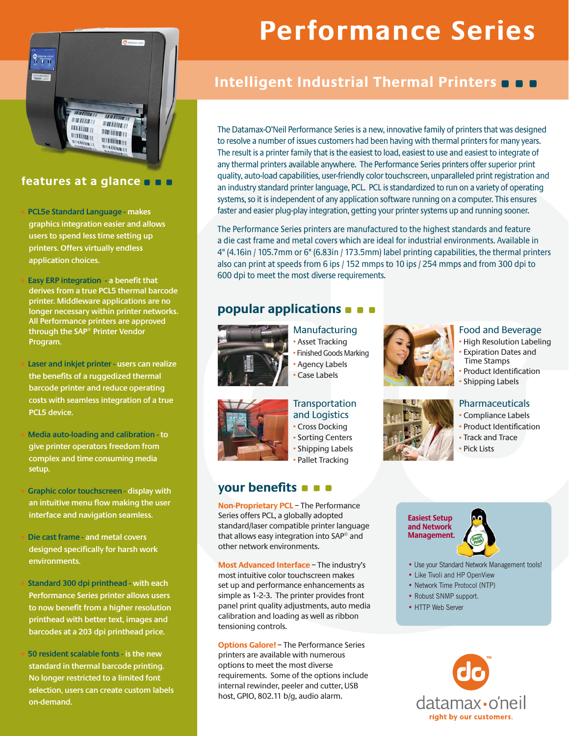

## **features at a glance**

• **PCL5e Standard Language - makes graphics integration easier and allows users to spend less time setting up printers. Offers virtually endless application choices.**

• **Easy ERP integration - a benefit that derives from a true PCL5 thermal barcode printer. Middleware applications are no longer necessary within printer networks. All Performance printers are approved through the SAP® Printer Vendor Program.**

• **Laser and inkjet printer - users can realize the benefits of a ruggedized thermal barcode printer and reduce operating costs with seamless integration of a true PCL5 device.**

• **Media auto-loading and calibration - to give printer operators freedom from complex and time consuming media setup.**

• **Graphic color touchscreen - display with an intuitive menu flow making the user interface and navigation seamless.**

• **Die cast frame - and metal covers designed specifically for harsh work environments.**

• **Standard 300 dpi printhead - with each Performance Series printer allows users to now benefit from a higher resolution printhead with better text, images and barcodes at a 203 dpi printhead price.**

• **50 resident scalable fonts - is the new standard in thermal barcode printing. No longer restricted to a limited font selection, users can create custom labels on-demand.**

# **Performance Series**

# **Intelligent Industrial Thermal Printers**

The Datamax-O'Neil Performance Series is a new, innovative family of printers that was designed to resolve a number of issues customers had been having with thermal printers for many years. The result is a printer family that is the easiest to load, easiest to use and easiest to integrate of any thermal printers available anywhere. The Performance Series printers offer superior print quality, auto-load capabilities, user-friendly color touchscreen, unparalleled print registration and an industry standard printer language, PCL. PCL is standardized to run on a variety of operating systems, so it is independent of any application software running on a computer. This ensures faster and easier plug-play integration, getting your printer systems up and running sooner.

The Performance Series printers are manufactured to the highest standards and feature a die cast frame and metal covers which are ideal for industrial environments. Available in 4" (4.16in / 105.7mm or 6" (6.83in / 173.5mm) label printing capabilities, the thermal printers also can print at speeds from 6 ips / 152 mmps to 10 ips / 254 mmps and from 300 dpi to 600 dpi to meet the most diverse requirements.

# **popular applications**



Manufacturing • Asset Tracking • Finished Goods Marking



Food and Beverage

- High Resolution Labeling • Expiration Dates and Time Stamps • Product Identification
- Shipping Labels

## Pharmaceuticals

- Compliance Labels
- Product Identification
- Track and Trace
- Pick Lists

**Easiest Setup and Network Management.**



- Use your Standard Network Management tools!
- Like Tivoli and HP OpenView
- Network Time Protocol (NTP)
- Robust SNMP support.
- HTTP Web Server





**Transportation** and Logistics • Cross Docking • Sorting Centers • Shipping Labels

• Pallet Tracking

**Non-Proprietary PCL** – The Performance Series offers PCL, a globally adopted standard/laser compatible printer language that allows easy integration into SAP® and

**Most Advanced Interface** – The industry's most intuitive color touchscreen makes set up and performance enhancements as simple as 1-2-3. The printer provides front panel print quality adjustments, auto media calibration and loading as well as ribbon

**Options Galore!** – The Performance Series printers are available with numerous options to meet the most diverse

requirements. Some of the options include internal rewinder, peeler and cutter, USB host, GPIO, 802.11 b/g, audio alarm.

other network environments.

**your benefits**

tensioning controls.